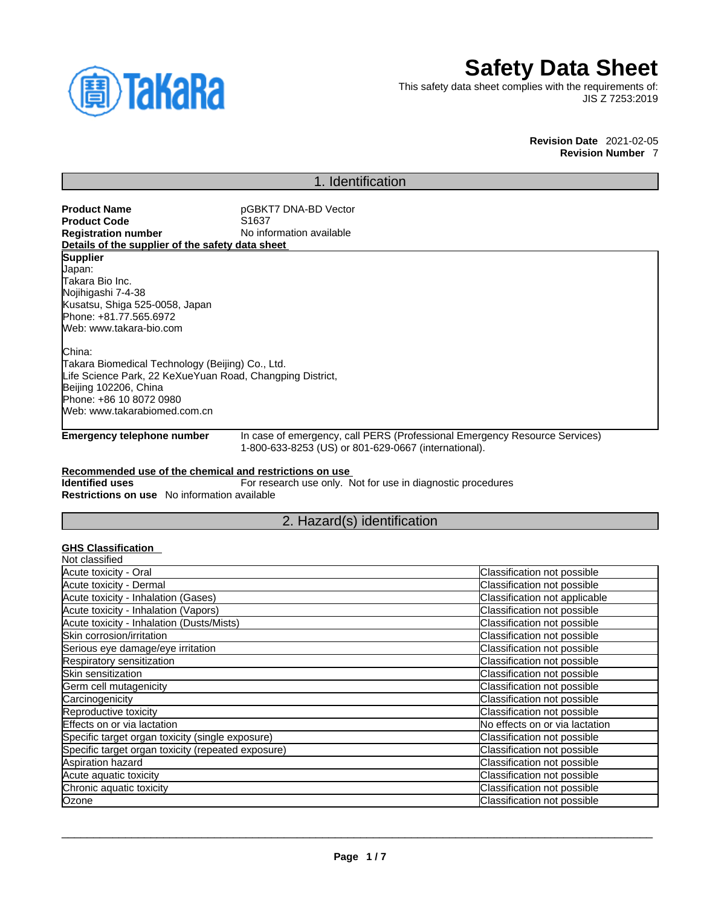

# **Safety Data Sheet**

This safety data sheet complies with the requirements of: JIS Z 7253:2019

> **Revision Date** 2021-02-05 **Revision Number** 7

# 1. Identification

**Product Name**<br> **Product Code**<br> **Product Code**<br> **Product Code**<br> **Product Code Product Code**<br>Registration number **No information available Details of the supplier of the safety data sheet Emergency telephone number** In case of emergency, call PERS (Professional Emergency Resource Services) 1-800-633-8253 (US) or 801-629-0667 (international). **Supplier** Japan: Takara Bio Inc. Nojihigashi 7-4-38 Kusatsu, Shiga 525-0058, Japan Phone: +81.77.565.6972 Web: www.takara-bio.com China: Takara Biomedical Technology (Beijing) Co., Ltd. Life Science Park, 22 KeXueYuan Road, Changping District, Beijing 102206, China Phone: +86 10 8072 0980 Web: www.takarabiomed.com.cn

### **Recommended use of the chemical and restrictions on use**

**Identified uses** For research use only. Not for use in diagnostic procedures **Restrictions on use** No information available

# 2. Hazard(s) identification

### **GHS Classification**

| Classification not possible    |
|--------------------------------|
| Classification not possible    |
| Classification not applicable  |
| Classification not possible    |
| Classification not possible    |
| Classification not possible    |
| Classification not possible    |
| Classification not possible    |
| Classification not possible    |
| Classification not possible    |
| Classification not possible    |
| Classification not possible    |
| No effects on or via lactation |
| Classification not possible    |
| Classification not possible    |
| Classification not possible    |
| Classification not possible    |
| Classification not possible    |
| Classification not possible    |
|                                |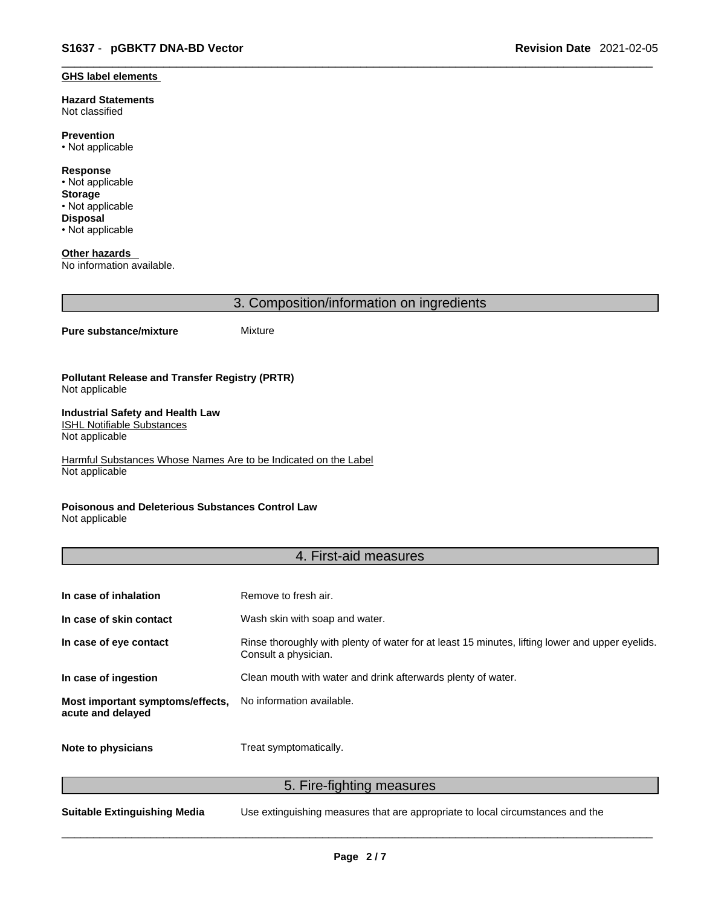#### **GHS label elements**

**Hazard Statements**  Not classified

**Prevention** • Not applicable

**Response** • Not applicable **Storage** • Not applicable **Disposal** • Not applicable

**Other hazards**  No information available.

3. Composition/information on ingredients

#### **Pure substance/mixture** Mixture

#### **Pollutant Release and Transfer Registry (PRTR)** Not applicable

#### **Industrial Safety and Health Law**  ISHL Notifiable Substances

Not applicable

Harmful Substances Whose Names Are to be Indicated on the Label Not applicable

### **Poisonous and Deleterious Substances Control Law**

Not applicable

# 4. First-aid measures

| In case of inhalation                                 | Remove to fresh air.                                                                                                    |
|-------------------------------------------------------|-------------------------------------------------------------------------------------------------------------------------|
| In case of skin contact                               | Wash skin with soap and water.                                                                                          |
| In case of eye contact                                | Rinse thoroughly with plenty of water for at least 15 minutes, lifting lower and upper eyelids.<br>Consult a physician. |
| In case of ingestion                                  | Clean mouth with water and drink afterwards plenty of water.                                                            |
| Most important symptoms/effects,<br>acute and delayed | No information available.                                                                                               |
| Note to physicians                                    | Treat symptomatically.                                                                                                  |

5. Fire-fighting measures

**Suitable Extinguishing Media** Use extinguishing measures that are appropriate to local circumstances and the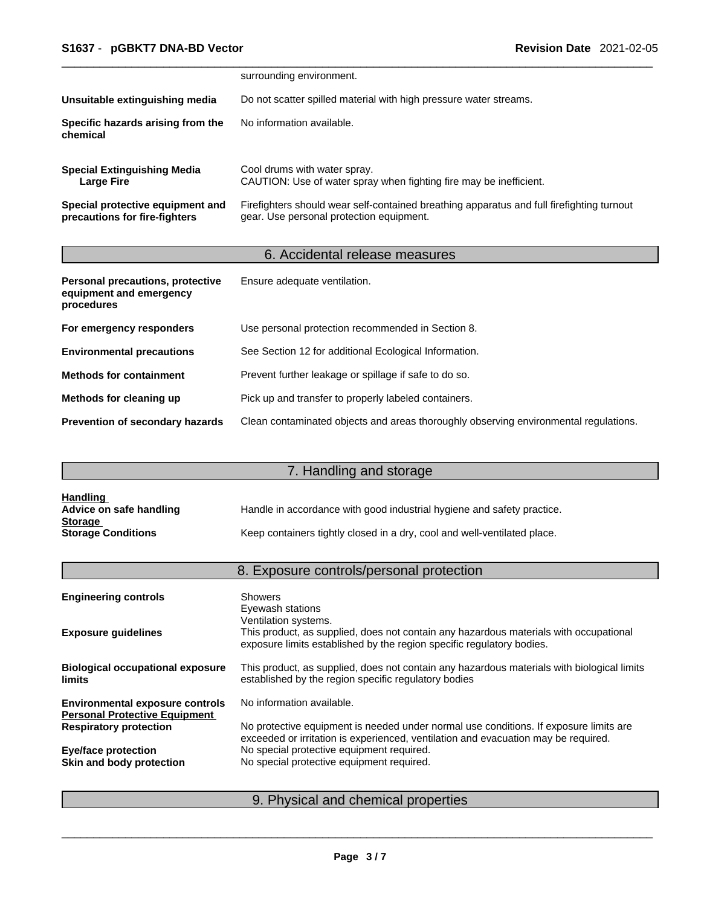|                                                                   | surrounding environment.                                                                                                              |
|-------------------------------------------------------------------|---------------------------------------------------------------------------------------------------------------------------------------|
| Unsuitable extinguishing media                                    | Do not scatter spilled material with high pressure water streams.                                                                     |
| Specific hazards arising from the<br>chemical                     | No information available.                                                                                                             |
| <b>Special Extinguishing Media</b><br><b>Large Fire</b>           | Cool drums with water spray.<br>CAUTION: Use of water spray when fighting fire may be inefficient.                                    |
| Special protective equipment and<br>precautions for fire-fighters | Firefighters should wear self-contained breathing apparatus and full firefighting turnout<br>gear. Use personal protection equipment. |

# 6. Accidental release measures

| Personal precautions, protective<br>equipment and emergency<br>procedures | Ensure adequate ventilation.                                                         |
|---------------------------------------------------------------------------|--------------------------------------------------------------------------------------|
| For emergency responders                                                  | Use personal protection recommended in Section 8.                                    |
| <b>Environmental precautions</b>                                          | See Section 12 for additional Ecological Information.                                |
| <b>Methods for containment</b>                                            | Prevent further leakage or spillage if safe to do so.                                |
| Methods for cleaning up                                                   | Pick up and transfer to properly labeled containers.                                 |
| <b>Prevention of secondary hazards</b>                                    | Clean contaminated objects and areas thoroughly observing environmental regulations. |

# 7. Handling and storage

| <b>Handling</b>           |                                                                          |
|---------------------------|--------------------------------------------------------------------------|
| Advice on safe handling   | Handle in accordance with good industrial hygiene and safety practice.   |
| <b>Storage</b>            |                                                                          |
| <b>Storage Conditions</b> | Keep containers tightly closed in a dry, cool and well-ventilated place. |

# 8. Exposure controls/personal protection

| <b>Engineering controls</b>                                                    | <b>Showers</b><br>Eyewash stations                                                                                                                                                     |
|--------------------------------------------------------------------------------|----------------------------------------------------------------------------------------------------------------------------------------------------------------------------------------|
| <b>Exposure guidelines</b>                                                     | Ventilation systems.<br>This product, as supplied, does not contain any hazardous materials with occupational<br>exposure limits established by the region specific regulatory bodies. |
| <b>Biological occupational exposure</b><br><b>limits</b>                       | This product, as supplied, does not contain any hazardous materials with biological limits<br>established by the region specific regulatory bodies                                     |
| <b>Environmental exposure controls</b><br><b>Personal Protective Equipment</b> | No information available.                                                                                                                                                              |
| <b>Respiratory protection</b>                                                  | No protective equipment is needed under normal use conditions. If exposure limits are<br>exceeded or irritation is experienced, ventilation and evacuation may be required.            |
| <b>Eye/face protection</b>                                                     | No special protective equipment required.                                                                                                                                              |
| Skin and body protection                                                       | No special protective equipment required.                                                                                                                                              |
|                                                                                |                                                                                                                                                                                        |

# 9. Physical and chemical properties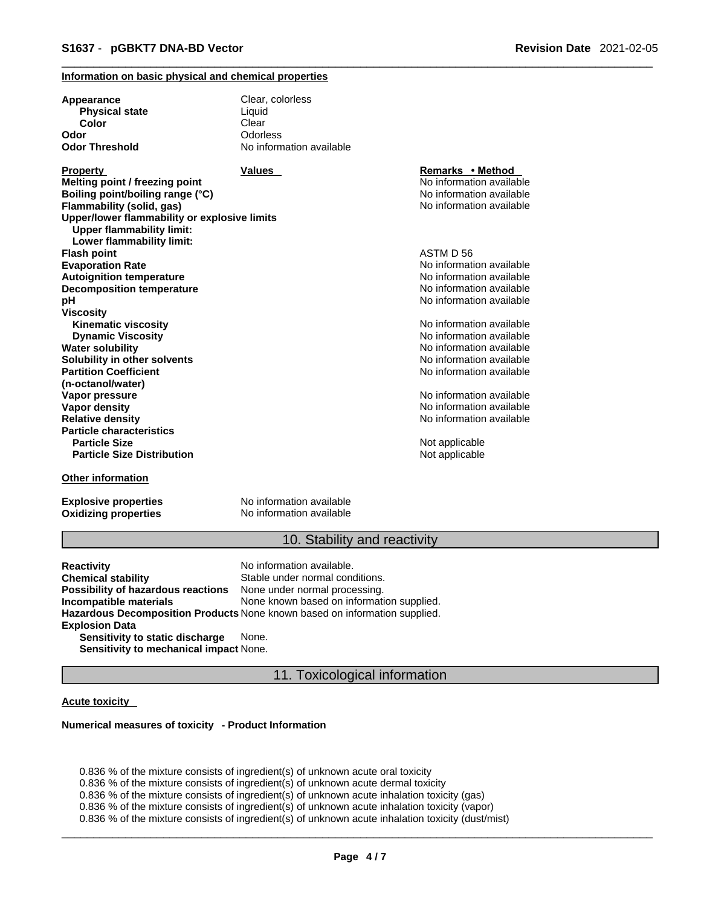### **Information on basic physical and chemical properties**

| Appearance                                   | Clear, colorless         |                          |  |
|----------------------------------------------|--------------------------|--------------------------|--|
| <b>Physical state</b>                        | Liquid                   |                          |  |
| Color                                        | Clear                    |                          |  |
| Odor                                         | Odorless                 |                          |  |
| <b>Odor Threshold</b>                        | No information available |                          |  |
| <b>Property</b>                              | <b>Values</b>            | Remarks • Method         |  |
| Melting point / freezing point               |                          | No information available |  |
| Boiling point/boiling range (°C)             |                          | No information available |  |
| Flammability (solid, gas)                    |                          | No information available |  |
| Upper/lower flammability or explosive limits |                          |                          |  |
| <b>Upper flammability limit:</b>             |                          |                          |  |
| Lower flammability limit:                    |                          |                          |  |
| <b>Flash point</b>                           |                          | ASTM D 56                |  |
| <b>Evaporation Rate</b>                      |                          | No information available |  |
| <b>Autoignition temperature</b>              |                          | No information available |  |
| <b>Decomposition temperature</b>             |                          | No information available |  |
| рH                                           |                          | No information available |  |
| Viscosity                                    |                          |                          |  |
| <b>Kinematic viscosity</b>                   |                          | No information available |  |
| <b>Dynamic Viscosity</b>                     |                          | No information available |  |
| Water solubility                             |                          | No information available |  |
| Solubility in other solvents                 |                          | No information available |  |
| <b>Partition Coefficient</b>                 |                          | No information available |  |
| (n-octanol/water)                            |                          |                          |  |
| Vapor pressure                               |                          | No information available |  |
| <b>Vapor density</b>                         |                          | No information available |  |
| <b>Relative density</b>                      |                          | No information available |  |
| <b>Particle characteristics</b>              |                          |                          |  |
| <b>Particle Size</b>                         |                          | Not applicable           |  |
| <b>Particle Size Distribution</b>            |                          | Not applicable           |  |
| <b>Other information</b>                     |                          |                          |  |

**Explosive properties**<br> **Oxidizing properties**<br>
No information available **Oxidizing properties** 

## 10. Stability and reactivity

**Reactivity Reactivity Reactivity Chemical stability No information available.**<br> **Chemical stability Reaction** Stable under normal cond Stable under normal conditions.<br>None under normal processing. **Possibility of hazardous reactions Incompatible materials** None known based on information supplied. **Hazardous Decomposition Products** None known based on information supplied. **Explosion Data Sensitivity to static discharge** None.

**Sensitivity to mechanical impact** None.

### 11. Toxicological information

### **Acute toxicity**

#### **Numerical measures of toxicity - Product Information**

0.836 % of the mixture consists of ingredient(s) of unknown acute oral toxicity 0.836 % of the mixture consists of ingredient(s) of unknown acute dermal toxicity 0.836 % of the mixture consists of ingredient(s) of unknown acute inhalation toxicity (gas) 0.836 % of the mixture consists of ingredient(s) of unknown acute inhalation toxicity (vapor) 0.836 % of the mixture consists of ingredient(s) of unknown acute inhalation toxicity (dust/mist)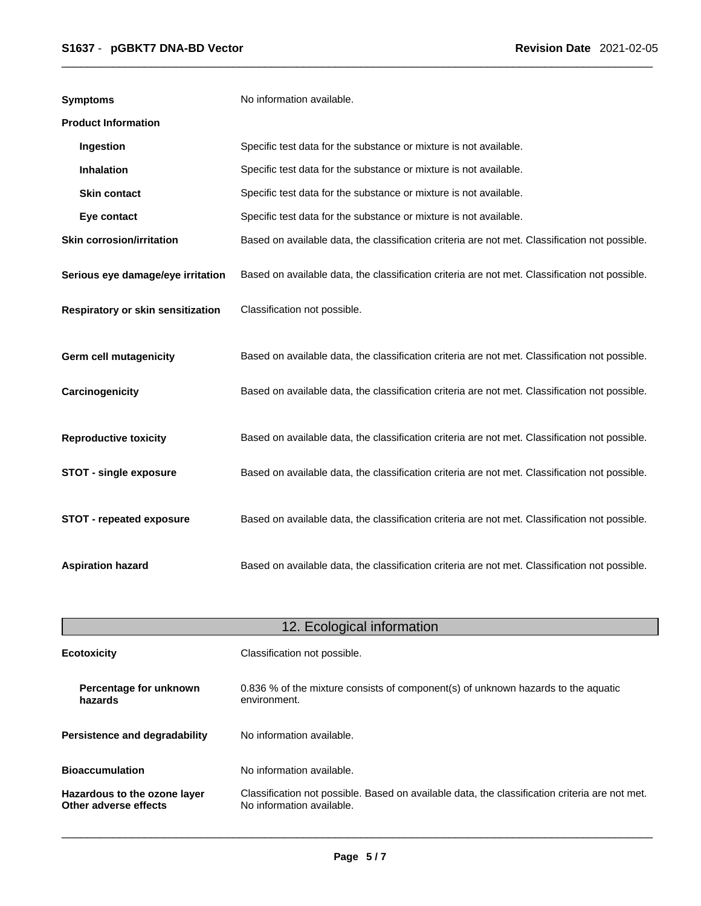| <b>Symptoms</b>                   | No information available.                                                                      |
|-----------------------------------|------------------------------------------------------------------------------------------------|
| <b>Product Information</b>        |                                                                                                |
| Ingestion                         | Specific test data for the substance or mixture is not available.                              |
| Inhalation                        | Specific test data for the substance or mixture is not available.                              |
| <b>Skin contact</b>               | Specific test data for the substance or mixture is not available.                              |
| Eye contact                       | Specific test data for the substance or mixture is not available.                              |
| <b>Skin corrosion/irritation</b>  | Based on available data, the classification criteria are not met. Classification not possible. |
| Serious eye damage/eye irritation | Based on available data, the classification criteria are not met. Classification not possible. |
| Respiratory or skin sensitization | Classification not possible.                                                                   |
| Germ cell mutagenicity            | Based on available data, the classification criteria are not met. Classification not possible. |
| Carcinogenicity                   | Based on available data, the classification criteria are not met. Classification not possible. |
| <b>Reproductive toxicity</b>      | Based on available data, the classification criteria are not met. Classification not possible. |
| <b>STOT - single exposure</b>     | Based on available data, the classification criteria are not met. Classification not possible. |
| STOT - repeated exposure          | Based on available data, the classification criteria are not met. Classification not possible. |
| <b>Aspiration hazard</b>          | Based on available data, the classification criteria are not met. Classification not possible. |

| 12. Ecological information                            |                                                                                                                             |  |
|-------------------------------------------------------|-----------------------------------------------------------------------------------------------------------------------------|--|
| <b>Ecotoxicity</b>                                    | Classification not possible.                                                                                                |  |
| Percentage for unknown<br>hazards                     | 0.836 % of the mixture consists of component(s) of unknown hazards to the aquatic<br>environment.                           |  |
| <b>Persistence and degradability</b>                  | No information available.                                                                                                   |  |
| <b>Bioaccumulation</b>                                | No information available.                                                                                                   |  |
| Hazardous to the ozone layer<br>Other adverse effects | Classification not possible. Based on available data, the classification criteria are not met.<br>No information available. |  |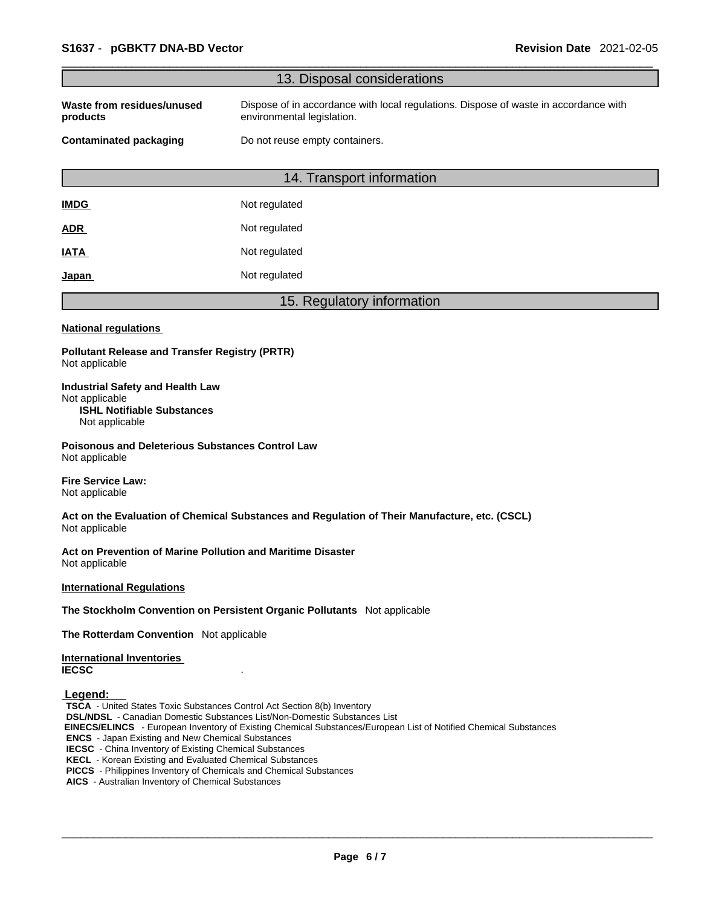|                                                                                                                                                                                                                                                                                                                                                                                                                  | 13. Disposal considerations                                                                                                                                                                          |
|------------------------------------------------------------------------------------------------------------------------------------------------------------------------------------------------------------------------------------------------------------------------------------------------------------------------------------------------------------------------------------------------------------------|------------------------------------------------------------------------------------------------------------------------------------------------------------------------------------------------------|
| Waste from residues/unused<br>products                                                                                                                                                                                                                                                                                                                                                                           | Dispose of in accordance with local regulations. Dispose of waste in accordance with<br>environmental legislation.                                                                                   |
| <b>Contaminated packaging</b>                                                                                                                                                                                                                                                                                                                                                                                    | Do not reuse empty containers.                                                                                                                                                                       |
|                                                                                                                                                                                                                                                                                                                                                                                                                  | 14. Transport information                                                                                                                                                                            |
| <b>IMDG</b>                                                                                                                                                                                                                                                                                                                                                                                                      | Not regulated                                                                                                                                                                                        |
| ADR                                                                                                                                                                                                                                                                                                                                                                                                              | Not regulated                                                                                                                                                                                        |
| <b>IATA</b>                                                                                                                                                                                                                                                                                                                                                                                                      | Not regulated                                                                                                                                                                                        |
| <u>Japan</u>                                                                                                                                                                                                                                                                                                                                                                                                     | Not regulated                                                                                                                                                                                        |
|                                                                                                                                                                                                                                                                                                                                                                                                                  | 15. Regulatory information                                                                                                                                                                           |
| <b>National regulations</b>                                                                                                                                                                                                                                                                                                                                                                                      |                                                                                                                                                                                                      |
| <b>Pollutant Release and Transfer Registry (PRTR)</b><br>Not applicable                                                                                                                                                                                                                                                                                                                                          |                                                                                                                                                                                                      |
| <b>Industrial Safety and Health Law</b><br>Not applicable<br><b>ISHL Notifiable Substances</b><br>Not applicable                                                                                                                                                                                                                                                                                                 |                                                                                                                                                                                                      |
| <b>Poisonous and Deleterious Substances Control Law</b><br>Not applicable                                                                                                                                                                                                                                                                                                                                        |                                                                                                                                                                                                      |
| <b>Fire Service Law:</b><br>Not applicable                                                                                                                                                                                                                                                                                                                                                                       |                                                                                                                                                                                                      |
| Not applicable                                                                                                                                                                                                                                                                                                                                                                                                   | Act on the Evaluation of Chemical Substances and Regulation of Their Manufacture, etc. (CSCL)                                                                                                        |
| Act on Prevention of Marine Pollution and Maritime Disaster<br>Not applicable                                                                                                                                                                                                                                                                                                                                    |                                                                                                                                                                                                      |
| <b>International Regulations</b>                                                                                                                                                                                                                                                                                                                                                                                 |                                                                                                                                                                                                      |
|                                                                                                                                                                                                                                                                                                                                                                                                                  | The Stockholm Convention on Persistent Organic Pollutants Not applicable                                                                                                                             |
| The Rotterdam Convention Not applicable                                                                                                                                                                                                                                                                                                                                                                          |                                                                                                                                                                                                      |
| <b>International Inventories</b><br><b>IECSC</b>                                                                                                                                                                                                                                                                                                                                                                 |                                                                                                                                                                                                      |
| Legend:<br>TSCA - United States Toxic Substances Control Act Section 8(b) Inventory<br><b>ENCS</b> - Japan Existing and New Chemical Substances<br><b>IECSC</b> - China Inventory of Existing Chemical Substances<br><b>KECL</b> - Korean Existing and Evaluated Chemical Substances<br>PICCS - Philippines Inventory of Chemicals and Chemical Substances<br>AICS - Australian Inventory of Chemical Substances | <b>DSL/NDSL</b> - Canadian Domestic Substances List/Non-Domestic Substances List<br>EINECS/ELINCS - European Inventory of Existing Chemical Substances/European List of Notified Chemical Substances |